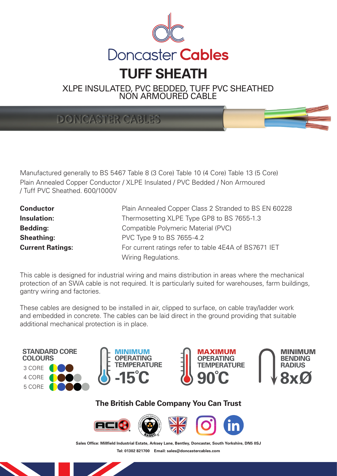

XLPE INSULATED, PVC BEDDED, TUFF PVC SHEATHED<br>NON ARMOURED CABLE

DONCASTER CABLES

Manufactured generally to BS 5467 Table 8 (3 Core) Table 10 (4 Core) Table 13 (5 Core) Plain Annealed Copper Conductor / XLPE Insulated / PVC Bedded / Non Armoured / Tuff PVC Sheathed. 600/1000V

| <b>Conductor</b>        | Plain Annealed Copper Class 2 Stranded to BS EN 60228 |  |  |  |  |  |
|-------------------------|-------------------------------------------------------|--|--|--|--|--|
| <b>Insulation:</b>      | Thermosetting XLPE Type GP8 to BS 7655-1.3            |  |  |  |  |  |
| <b>Bedding:</b>         | Compatible Polymeric Material (PVC)                   |  |  |  |  |  |
| <b>Sheathing:</b>       | PVC Type 9 to BS 7655-4.2                             |  |  |  |  |  |
| <b>Current Ratings:</b> | For current ratings refer to table 4E4A of BS7671 IET |  |  |  |  |  |
|                         | Wiring Regulations.                                   |  |  |  |  |  |

This cable is designed for industrial wiring and mains distribution in areas where the mechanical protection of an SWA cable is not required. It is particularly suited for warehouses, farm buildings, gantry wiring and factories.

These cables are designed to be installed in air, clipped to surface, on cable tray/ladder work and embedded in concrete. The cables can be laid direct in the ground providing that suitable additional mechanical protection is in place.









## **The British Cable Company You Can Trust**



Sales Office: Millfield Industrial Estate, Arksey Lane, Bentley, Doncaster, South Yorkshire, DN5 0SJ **Tel: 01302 821700 Email: sales@doncastercables.com**